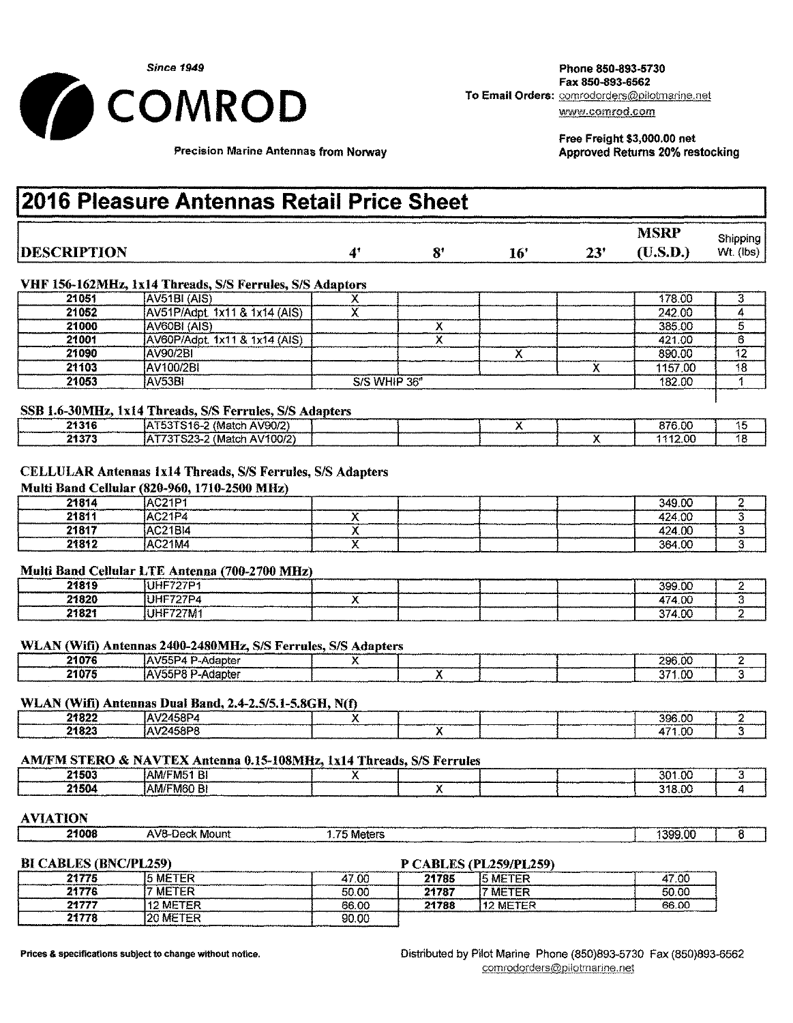

Fax 850-893-6562<br>To Email Orders: comrodorders@pilotmarine.net

Free Freight \$3,000.00 net Approved Returns 20% restocking

Precision Marine Antennas from Norway

# **12016 Pleasure Antennas Retail Price Sheet**

|                    |         |     |     | <b>MSRP</b> | Shipping |
|--------------------|---------|-----|-----|-------------|----------|
| <b>DESCRIPTION</b> | O۱<br>о | 16' | 23' | (U.S.D.)    | Wt (lbs) |

# VHF 156-162MHz, lx14 Threads, S/S Ferrules, S/S Adaptors

| 21051 | AV51BI (AIS)                  |              |  |  |        | 178.00  |    |
|-------|-------------------------------|--------------|--|--|--------|---------|----|
| 21052 | AV51P/Adpt. 1x11 & 1x14 (AIS) |              |  |  |        | 242.00  |    |
| 21000 | AV60BI (AIS)                  |              |  |  |        | 385.00  |    |
| 21001 | AV60P/Adpt. 1x11 & 1x14 (AIS) |              |  |  |        | 421.00  |    |
| 21090 | AV90/2BI                      |              |  |  |        | 890.00  | 12 |
| 21103 | AV100/2BI                     |              |  |  |        | 1157.00 | 18 |
| 21053 | IAV53BI                       | S/S WHIP 36" |  |  | 182.00 |         |    |

# SSB 1.6-30MHz, lx14 Threads, *S/S* Ferrules, S/S Adapters

| 21316 | ! (Match AV90/2)<br>AT53TS16-2 |  |  | 876.00  |  |
|-------|--------------------------------|--|--|---------|--|
| 21373 | (Match AV100/2)<br>IAT73TS23-2 |  |  | 1112.00 |  |

# CELLULAR Antennas lx14 Threads, *S/S* Ferrules, S/S Adapters

#### Multi Band Cellular (820-960,1710-2500 MHz)

| 21814 | <b>AC21P1</b> |  | 349.00 |  |
|-------|---------------|--|--------|--|
| 21811 | <b>AC21P4</b> |  | 424.00 |  |
| 21817 | AC21BI4       |  | 424.00 |  |
| 21812 | AC21M4        |  | 364,00 |  |

### Multi Band Cellular LTE Antenna (700-2700 MHz)

| 21819 | IUHF727P         |  |  | 399.00 |          |
|-------|------------------|--|--|--------|----------|
| 21820 | <b>IUHF727P4</b> |  |  | 474,00 |          |
| 21821 | IUHF727M1        |  |  | 374.00 | -------- |

# WLAN (Wifi) Antennas 2400-2480MHz, S/S Ferrules, S/S Adapters

| 21076 | <b>IAV55P4 P</b><br>- Adapter |  | 296.00 |  |
|-------|-------------------------------|--|--------|--|
| 21075 | IAV55P8 P<br>-Adapter         |  | 371.00 |  |

# WLAN (Wifi) Antennas Dual Band, *2.4-2.5/5.1-5.8GH,* N(f)

| 21822 | 'AV2458P4       |  |  | 396.00          |  |
|-------|-----------------|--|--|-----------------|--|
| 21823 | <b>AV2458PR</b> |  |  | オフィ ハハ<br>د د ک |  |

### AMIFM STERO & NAVTEX Antenna 0.15-108MHz, lx14 Threads, S/S Ferrules

| 21503 | AM/FM51 BI        |  | 301.00 |  |
|-------|-------------------|--|--------|--|
| 21504 | <b>AM/FM60 BI</b> |  | 318,00 |  |
|       |                   |  |        |  |

# AVIATION

| 21008 | $AVB_n$<br>-Deck Mount | ----<br>Meters |             | 399.00 |
|-------|------------------------|----------------|-------------|--------|
|       |                        |                |             |        |
|       |                        |                | ----------- |        |

# BI CABLES (BNC/PL259) P CABLES (PL259/PL259)

| 21775 | 5 METER         | 47.00 | 21785 | 15 METER        | 47.00 |
|-------|-----------------|-------|-------|-----------------|-------|
| 21776 | <b>METER</b>    | 50.00 | 21787 | <b>NETER</b>    | 50.00 |
| 2177  | <b>12 METER</b> | 66.00 | 21788 | <b>12 METER</b> | 66.00 |
| 21778 | <b>20 METER</b> | 90.00 |       |                 |       |